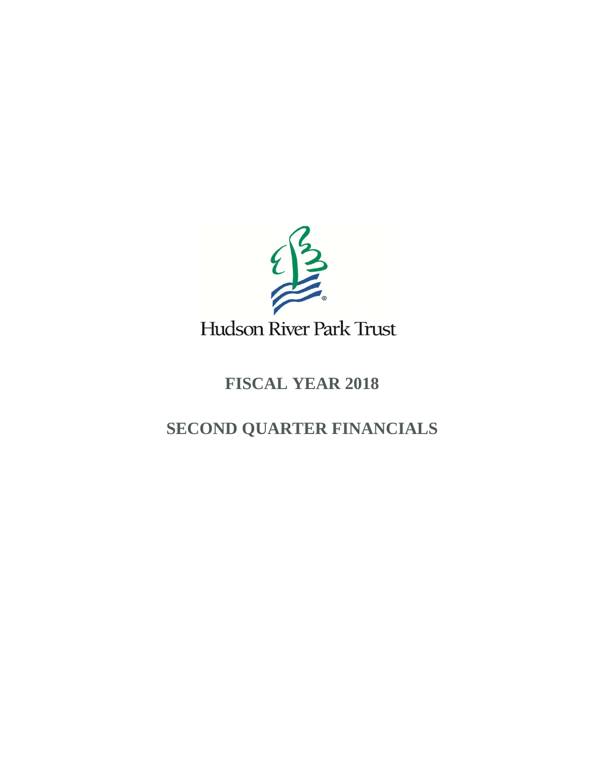

## **FISCAL YEAR 2018**

# **SECOND QUARTER FINANCIALS**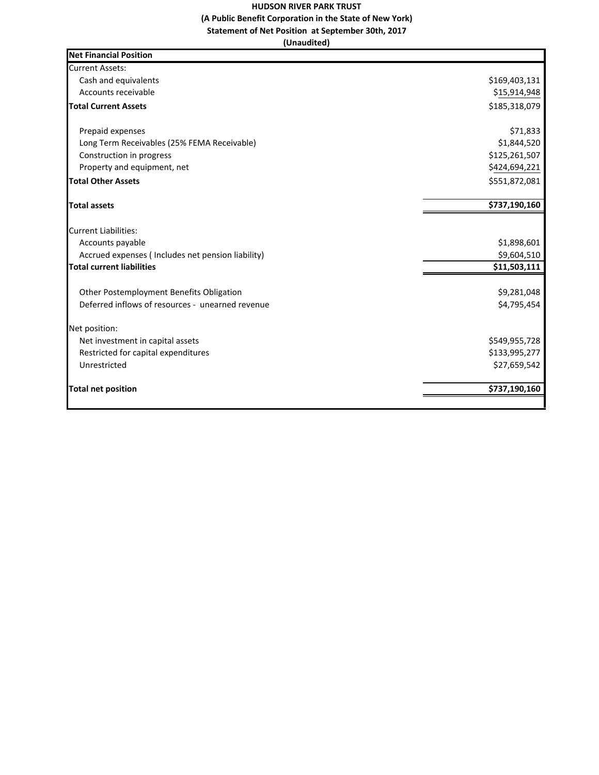### **HUDSON RIVER PARK TRUST (A Public Benefit Corporation in the State of New York) Statement of Net Position at September 30th, 2017**

**(Unaudited)**

| <b>Net Financial Position</b>                     |               |
|---------------------------------------------------|---------------|
| <b>Current Assets:</b>                            |               |
| Cash and equivalents                              | \$169,403,131 |
| Accounts receivable                               | \$15,914,948  |
| <b>Total Current Assets</b>                       | \$185,318,079 |
| Prepaid expenses                                  | \$71,833      |
| Long Term Receivables (25% FEMA Receivable)       | \$1,844,520   |
| Construction in progress                          | \$125,261,507 |
| Property and equipment, net                       | \$424,694,221 |
| <b>Total Other Assets</b>                         | \$551,872,081 |
| <b>Total assets</b>                               | \$737,190,160 |
| <b>Current Liabilities:</b>                       |               |
| Accounts payable                                  | \$1,898,601   |
| Accrued expenses (Includes net pension liability) | \$9,604,510   |
| <b>Total current liabilities</b>                  | \$11,503,111  |
| Other Postemployment Benefits Obligation          | \$9,281,048   |
| Deferred inflows of resources - unearned revenue  | \$4,795,454   |
| Net position:                                     |               |
| Net investment in capital assets                  | \$549,955,728 |
| Restricted for capital expenditures               | \$133,995,277 |
| Unrestricted                                      | \$27,659,542  |
| <b>Total net position</b>                         | \$737,190,160 |
|                                                   |               |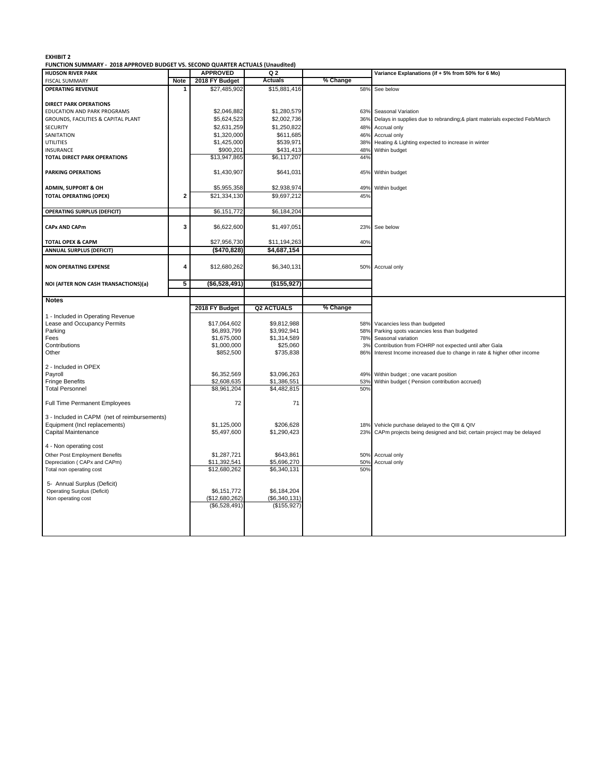#### **EXHIBIT 2**

**FUNCTION SUMMARY ‐ 2018 APPROVED BUDGET VS. SECOND QUARTER ACTUALS (Unaudited)**

| <b>Actuals</b><br>% Change<br>2018 FY Budget<br>Note<br><b>FISCAL SUMMARY</b><br>\$27,485,902<br>\$15,881,416<br><b>OPERATING REVENUE</b><br>58%<br>See below<br><b>DIRECT PARK OPERATIONS</b><br>EDUCATION AND PARK PROGRAMS<br>\$2,046,882<br>\$1,280,579<br>63% Seasonal Variation<br>\$5,624,523<br>\$2,002,736<br>GROUNDS, FACILITIES & CAPITAL PLANT<br>36%<br>Delays in supplies due to rebranding;& plant materials expected Feb/March<br>\$2,631,259<br>\$1,250,822<br><b>SECURITY</b><br>48%<br>Accrual only<br>\$1,320,000<br>\$611,685<br>SANITATION<br>46%<br>Accrual only<br>\$1,425,000<br>\$539,971<br><b>UTILITIES</b><br>38%<br>Heating & Lighting expected to increase in winter<br>\$900,201<br>\$431,413<br>INSURANCE<br>48%<br>Within budget<br>\$13,947,865<br>\$6,117,207<br><b>TOTAL DIRECT PARK OPERATIONS</b><br>44%<br>\$1,430,907<br>\$641,031<br>45% Within budget<br><b>PARKING OPERATIONS</b><br>\$5,955,358<br>\$2,938,974<br>Within budget<br><b>ADMIN, SUPPORT &amp; OH</b><br>49%<br>\$21.334.130<br>\$9,697,212<br>45%<br><b>TOTAL OPERATING (OPEX)</b><br>$\overline{2}$<br><b>OPERATING SURPLUS (DEFICIT)</b><br>\$6,151,772<br>\$6,184,204<br>\$6,622,600<br>\$1,497,051<br><b>CAPx AND CAPm</b><br>3<br>23%<br>See below<br>\$27,956,730<br><b>TOTAL OPEX &amp; CAPM</b><br>\$11,194,263<br>40%<br><b>ANNUAL SURPLUS (DEFICIT)</b><br>(\$470,828)<br>\$4,687,154<br>4<br>\$12,680,262<br>\$6,340,131<br><b>NON OPERATING EXPENSE</b><br>50% Accrual only<br>5<br>(\$6,528,491)<br>(\$155,927)<br>NOI (AFTER NON CASH TRANSACTIONS)(a)<br><b>Notes</b><br>% Change<br><b>Q2 ACTUALS</b><br>2018 FY Budget<br>1 - Included in Operating Revenue<br>Lease and Occupancy Permits<br>\$17,064,602<br>\$9,812,988<br>58%<br>Vacancies less than budgeted<br>\$6,893,799<br>\$3,992,941<br>Parking<br>58%<br>Parking spots vacancies less than budgeted<br>\$1,675,000<br>\$1,314,589<br>78%<br>Fees<br>Seasonal variation<br>Contributions<br>\$1,000,000<br>\$25,060<br>3%<br>Contribution from FOHRP not expected until after Gala<br>Other<br>\$852,500<br>\$735,838<br>86%<br>Interest Income increased due to change in rate & higher other income<br>2 - Included in OPEX<br>\$6,352,569<br>Payroll<br>\$3,096,263<br>49%<br>Within budget ; one vacant position<br>Fringe Benefits<br>\$2,608,635<br>\$1,386,551<br>53%<br>Within budget ( Pension contribution accrued)<br><b>Total Personnel</b><br>\$8,961,204<br>\$4,482,815<br>50%<br>72<br>71<br><b>Full Time Permanent Employees</b><br>3 - Included in CAPM (net of reimbursements)<br>Equipment (Incl replacements)<br>\$1,125,000<br>\$206,628<br>Vehicle purchase delayed to the QIII & QIV<br>18%<br>Capital Maintenance<br>\$5,497,600<br>\$1,290,423<br>CAPm projects being designed and bid; certain project may be delayed<br>23%<br>4 - Non operating cost<br>Other Post Employment Benefits<br>\$1,287,721<br>\$643,861<br>50% Accrual only<br>\$11,392,541<br>\$5,696,270<br>Depreciation (CAPx and CAPm)<br>50%<br>Accrual only<br>Total non operating cost<br>\$12,680,262<br>\$6,340,131<br>50%<br>5- Annual Surplus (Deficit)<br>\$6,151,772<br>\$6,184,204<br><b>Operating Surplus (Deficit)</b><br>(\$12,680,262)<br>(\$6,340,131)<br>Non operating cost<br>(\$6,528,491)<br>(\$155,927) | <b>HUDSON RIVER PARK</b> | <b>APPROVED</b> | , ONCHON SOMMANT - 2010 AT FROVED DODGET VS. SECOND QUARTER ACTUALS (UNIQUIRED)<br>Q <sub>2</sub> | Variance Explanations (if + 5% from 50% for 6 Mo) |
|-------------------------------------------------------------------------------------------------------------------------------------------------------------------------------------------------------------------------------------------------------------------------------------------------------------------------------------------------------------------------------------------------------------------------------------------------------------------------------------------------------------------------------------------------------------------------------------------------------------------------------------------------------------------------------------------------------------------------------------------------------------------------------------------------------------------------------------------------------------------------------------------------------------------------------------------------------------------------------------------------------------------------------------------------------------------------------------------------------------------------------------------------------------------------------------------------------------------------------------------------------------------------------------------------------------------------------------------------------------------------------------------------------------------------------------------------------------------------------------------------------------------------------------------------------------------------------------------------------------------------------------------------------------------------------------------------------------------------------------------------------------------------------------------------------------------------------------------------------------------------------------------------------------------------------------------------------------------------------------------------------------------------------------------------------------------------------------------------------------------------------------------------------------------------------------------------------------------------------------------------------------------------------------------------------------------------------------------------------------------------------------------------------------------------------------------------------------------------------------------------------------------------------------------------------------------------------------------------------------------------------------------------------------------------------------------------------------------------------------------------------------------------------------------------------------------------------------------------------------------------------------------------------------------------------------------------------------------------------------------------------------------------------------------------------------------------------------------------------------------------------------------------------------------------------------------------------------------------------------------------------------------------------------------------------------|--------------------------|-----------------|---------------------------------------------------------------------------------------------------|---------------------------------------------------|
|                                                                                                                                                                                                                                                                                                                                                                                                                                                                                                                                                                                                                                                                                                                                                                                                                                                                                                                                                                                                                                                                                                                                                                                                                                                                                                                                                                                                                                                                                                                                                                                                                                                                                                                                                                                                                                                                                                                                                                                                                                                                                                                                                                                                                                                                                                                                                                                                                                                                                                                                                                                                                                                                                                                                                                                                                                                                                                                                                                                                                                                                                                                                                                                                                                                                                                             |                          |                 |                                                                                                   |                                                   |
|                                                                                                                                                                                                                                                                                                                                                                                                                                                                                                                                                                                                                                                                                                                                                                                                                                                                                                                                                                                                                                                                                                                                                                                                                                                                                                                                                                                                                                                                                                                                                                                                                                                                                                                                                                                                                                                                                                                                                                                                                                                                                                                                                                                                                                                                                                                                                                                                                                                                                                                                                                                                                                                                                                                                                                                                                                                                                                                                                                                                                                                                                                                                                                                                                                                                                                             |                          |                 |                                                                                                   |                                                   |
|                                                                                                                                                                                                                                                                                                                                                                                                                                                                                                                                                                                                                                                                                                                                                                                                                                                                                                                                                                                                                                                                                                                                                                                                                                                                                                                                                                                                                                                                                                                                                                                                                                                                                                                                                                                                                                                                                                                                                                                                                                                                                                                                                                                                                                                                                                                                                                                                                                                                                                                                                                                                                                                                                                                                                                                                                                                                                                                                                                                                                                                                                                                                                                                                                                                                                                             |                          |                 |                                                                                                   |                                                   |
|                                                                                                                                                                                                                                                                                                                                                                                                                                                                                                                                                                                                                                                                                                                                                                                                                                                                                                                                                                                                                                                                                                                                                                                                                                                                                                                                                                                                                                                                                                                                                                                                                                                                                                                                                                                                                                                                                                                                                                                                                                                                                                                                                                                                                                                                                                                                                                                                                                                                                                                                                                                                                                                                                                                                                                                                                                                                                                                                                                                                                                                                                                                                                                                                                                                                                                             |                          |                 |                                                                                                   |                                                   |
|                                                                                                                                                                                                                                                                                                                                                                                                                                                                                                                                                                                                                                                                                                                                                                                                                                                                                                                                                                                                                                                                                                                                                                                                                                                                                                                                                                                                                                                                                                                                                                                                                                                                                                                                                                                                                                                                                                                                                                                                                                                                                                                                                                                                                                                                                                                                                                                                                                                                                                                                                                                                                                                                                                                                                                                                                                                                                                                                                                                                                                                                                                                                                                                                                                                                                                             |                          |                 |                                                                                                   |                                                   |
|                                                                                                                                                                                                                                                                                                                                                                                                                                                                                                                                                                                                                                                                                                                                                                                                                                                                                                                                                                                                                                                                                                                                                                                                                                                                                                                                                                                                                                                                                                                                                                                                                                                                                                                                                                                                                                                                                                                                                                                                                                                                                                                                                                                                                                                                                                                                                                                                                                                                                                                                                                                                                                                                                                                                                                                                                                                                                                                                                                                                                                                                                                                                                                                                                                                                                                             |                          |                 |                                                                                                   |                                                   |
|                                                                                                                                                                                                                                                                                                                                                                                                                                                                                                                                                                                                                                                                                                                                                                                                                                                                                                                                                                                                                                                                                                                                                                                                                                                                                                                                                                                                                                                                                                                                                                                                                                                                                                                                                                                                                                                                                                                                                                                                                                                                                                                                                                                                                                                                                                                                                                                                                                                                                                                                                                                                                                                                                                                                                                                                                                                                                                                                                                                                                                                                                                                                                                                                                                                                                                             |                          |                 |                                                                                                   |                                                   |
|                                                                                                                                                                                                                                                                                                                                                                                                                                                                                                                                                                                                                                                                                                                                                                                                                                                                                                                                                                                                                                                                                                                                                                                                                                                                                                                                                                                                                                                                                                                                                                                                                                                                                                                                                                                                                                                                                                                                                                                                                                                                                                                                                                                                                                                                                                                                                                                                                                                                                                                                                                                                                                                                                                                                                                                                                                                                                                                                                                                                                                                                                                                                                                                                                                                                                                             |                          |                 |                                                                                                   |                                                   |
|                                                                                                                                                                                                                                                                                                                                                                                                                                                                                                                                                                                                                                                                                                                                                                                                                                                                                                                                                                                                                                                                                                                                                                                                                                                                                                                                                                                                                                                                                                                                                                                                                                                                                                                                                                                                                                                                                                                                                                                                                                                                                                                                                                                                                                                                                                                                                                                                                                                                                                                                                                                                                                                                                                                                                                                                                                                                                                                                                                                                                                                                                                                                                                                                                                                                                                             |                          |                 |                                                                                                   |                                                   |
|                                                                                                                                                                                                                                                                                                                                                                                                                                                                                                                                                                                                                                                                                                                                                                                                                                                                                                                                                                                                                                                                                                                                                                                                                                                                                                                                                                                                                                                                                                                                                                                                                                                                                                                                                                                                                                                                                                                                                                                                                                                                                                                                                                                                                                                                                                                                                                                                                                                                                                                                                                                                                                                                                                                                                                                                                                                                                                                                                                                                                                                                                                                                                                                                                                                                                                             |                          |                 |                                                                                                   |                                                   |
|                                                                                                                                                                                                                                                                                                                                                                                                                                                                                                                                                                                                                                                                                                                                                                                                                                                                                                                                                                                                                                                                                                                                                                                                                                                                                                                                                                                                                                                                                                                                                                                                                                                                                                                                                                                                                                                                                                                                                                                                                                                                                                                                                                                                                                                                                                                                                                                                                                                                                                                                                                                                                                                                                                                                                                                                                                                                                                                                                                                                                                                                                                                                                                                                                                                                                                             |                          |                 |                                                                                                   |                                                   |
|                                                                                                                                                                                                                                                                                                                                                                                                                                                                                                                                                                                                                                                                                                                                                                                                                                                                                                                                                                                                                                                                                                                                                                                                                                                                                                                                                                                                                                                                                                                                                                                                                                                                                                                                                                                                                                                                                                                                                                                                                                                                                                                                                                                                                                                                                                                                                                                                                                                                                                                                                                                                                                                                                                                                                                                                                                                                                                                                                                                                                                                                                                                                                                                                                                                                                                             |                          |                 |                                                                                                   |                                                   |
|                                                                                                                                                                                                                                                                                                                                                                                                                                                                                                                                                                                                                                                                                                                                                                                                                                                                                                                                                                                                                                                                                                                                                                                                                                                                                                                                                                                                                                                                                                                                                                                                                                                                                                                                                                                                                                                                                                                                                                                                                                                                                                                                                                                                                                                                                                                                                                                                                                                                                                                                                                                                                                                                                                                                                                                                                                                                                                                                                                                                                                                                                                                                                                                                                                                                                                             |                          |                 |                                                                                                   |                                                   |
|                                                                                                                                                                                                                                                                                                                                                                                                                                                                                                                                                                                                                                                                                                                                                                                                                                                                                                                                                                                                                                                                                                                                                                                                                                                                                                                                                                                                                                                                                                                                                                                                                                                                                                                                                                                                                                                                                                                                                                                                                                                                                                                                                                                                                                                                                                                                                                                                                                                                                                                                                                                                                                                                                                                                                                                                                                                                                                                                                                                                                                                                                                                                                                                                                                                                                                             |                          |                 |                                                                                                   |                                                   |
|                                                                                                                                                                                                                                                                                                                                                                                                                                                                                                                                                                                                                                                                                                                                                                                                                                                                                                                                                                                                                                                                                                                                                                                                                                                                                                                                                                                                                                                                                                                                                                                                                                                                                                                                                                                                                                                                                                                                                                                                                                                                                                                                                                                                                                                                                                                                                                                                                                                                                                                                                                                                                                                                                                                                                                                                                                                                                                                                                                                                                                                                                                                                                                                                                                                                                                             |                          |                 |                                                                                                   |                                                   |
|                                                                                                                                                                                                                                                                                                                                                                                                                                                                                                                                                                                                                                                                                                                                                                                                                                                                                                                                                                                                                                                                                                                                                                                                                                                                                                                                                                                                                                                                                                                                                                                                                                                                                                                                                                                                                                                                                                                                                                                                                                                                                                                                                                                                                                                                                                                                                                                                                                                                                                                                                                                                                                                                                                                                                                                                                                                                                                                                                                                                                                                                                                                                                                                                                                                                                                             |                          |                 |                                                                                                   |                                                   |
|                                                                                                                                                                                                                                                                                                                                                                                                                                                                                                                                                                                                                                                                                                                                                                                                                                                                                                                                                                                                                                                                                                                                                                                                                                                                                                                                                                                                                                                                                                                                                                                                                                                                                                                                                                                                                                                                                                                                                                                                                                                                                                                                                                                                                                                                                                                                                                                                                                                                                                                                                                                                                                                                                                                                                                                                                                                                                                                                                                                                                                                                                                                                                                                                                                                                                                             |                          |                 |                                                                                                   |                                                   |
|                                                                                                                                                                                                                                                                                                                                                                                                                                                                                                                                                                                                                                                                                                                                                                                                                                                                                                                                                                                                                                                                                                                                                                                                                                                                                                                                                                                                                                                                                                                                                                                                                                                                                                                                                                                                                                                                                                                                                                                                                                                                                                                                                                                                                                                                                                                                                                                                                                                                                                                                                                                                                                                                                                                                                                                                                                                                                                                                                                                                                                                                                                                                                                                                                                                                                                             |                          |                 |                                                                                                   |                                                   |
|                                                                                                                                                                                                                                                                                                                                                                                                                                                                                                                                                                                                                                                                                                                                                                                                                                                                                                                                                                                                                                                                                                                                                                                                                                                                                                                                                                                                                                                                                                                                                                                                                                                                                                                                                                                                                                                                                                                                                                                                                                                                                                                                                                                                                                                                                                                                                                                                                                                                                                                                                                                                                                                                                                                                                                                                                                                                                                                                                                                                                                                                                                                                                                                                                                                                                                             |                          |                 |                                                                                                   |                                                   |
|                                                                                                                                                                                                                                                                                                                                                                                                                                                                                                                                                                                                                                                                                                                                                                                                                                                                                                                                                                                                                                                                                                                                                                                                                                                                                                                                                                                                                                                                                                                                                                                                                                                                                                                                                                                                                                                                                                                                                                                                                                                                                                                                                                                                                                                                                                                                                                                                                                                                                                                                                                                                                                                                                                                                                                                                                                                                                                                                                                                                                                                                                                                                                                                                                                                                                                             |                          |                 |                                                                                                   |                                                   |
|                                                                                                                                                                                                                                                                                                                                                                                                                                                                                                                                                                                                                                                                                                                                                                                                                                                                                                                                                                                                                                                                                                                                                                                                                                                                                                                                                                                                                                                                                                                                                                                                                                                                                                                                                                                                                                                                                                                                                                                                                                                                                                                                                                                                                                                                                                                                                                                                                                                                                                                                                                                                                                                                                                                                                                                                                                                                                                                                                                                                                                                                                                                                                                                                                                                                                                             |                          |                 |                                                                                                   |                                                   |
|                                                                                                                                                                                                                                                                                                                                                                                                                                                                                                                                                                                                                                                                                                                                                                                                                                                                                                                                                                                                                                                                                                                                                                                                                                                                                                                                                                                                                                                                                                                                                                                                                                                                                                                                                                                                                                                                                                                                                                                                                                                                                                                                                                                                                                                                                                                                                                                                                                                                                                                                                                                                                                                                                                                                                                                                                                                                                                                                                                                                                                                                                                                                                                                                                                                                                                             |                          |                 |                                                                                                   |                                                   |
|                                                                                                                                                                                                                                                                                                                                                                                                                                                                                                                                                                                                                                                                                                                                                                                                                                                                                                                                                                                                                                                                                                                                                                                                                                                                                                                                                                                                                                                                                                                                                                                                                                                                                                                                                                                                                                                                                                                                                                                                                                                                                                                                                                                                                                                                                                                                                                                                                                                                                                                                                                                                                                                                                                                                                                                                                                                                                                                                                                                                                                                                                                                                                                                                                                                                                                             |                          |                 |                                                                                                   |                                                   |
|                                                                                                                                                                                                                                                                                                                                                                                                                                                                                                                                                                                                                                                                                                                                                                                                                                                                                                                                                                                                                                                                                                                                                                                                                                                                                                                                                                                                                                                                                                                                                                                                                                                                                                                                                                                                                                                                                                                                                                                                                                                                                                                                                                                                                                                                                                                                                                                                                                                                                                                                                                                                                                                                                                                                                                                                                                                                                                                                                                                                                                                                                                                                                                                                                                                                                                             |                          |                 |                                                                                                   |                                                   |
|                                                                                                                                                                                                                                                                                                                                                                                                                                                                                                                                                                                                                                                                                                                                                                                                                                                                                                                                                                                                                                                                                                                                                                                                                                                                                                                                                                                                                                                                                                                                                                                                                                                                                                                                                                                                                                                                                                                                                                                                                                                                                                                                                                                                                                                                                                                                                                                                                                                                                                                                                                                                                                                                                                                                                                                                                                                                                                                                                                                                                                                                                                                                                                                                                                                                                                             |                          |                 |                                                                                                   |                                                   |
|                                                                                                                                                                                                                                                                                                                                                                                                                                                                                                                                                                                                                                                                                                                                                                                                                                                                                                                                                                                                                                                                                                                                                                                                                                                                                                                                                                                                                                                                                                                                                                                                                                                                                                                                                                                                                                                                                                                                                                                                                                                                                                                                                                                                                                                                                                                                                                                                                                                                                                                                                                                                                                                                                                                                                                                                                                                                                                                                                                                                                                                                                                                                                                                                                                                                                                             |                          |                 |                                                                                                   |                                                   |
|                                                                                                                                                                                                                                                                                                                                                                                                                                                                                                                                                                                                                                                                                                                                                                                                                                                                                                                                                                                                                                                                                                                                                                                                                                                                                                                                                                                                                                                                                                                                                                                                                                                                                                                                                                                                                                                                                                                                                                                                                                                                                                                                                                                                                                                                                                                                                                                                                                                                                                                                                                                                                                                                                                                                                                                                                                                                                                                                                                                                                                                                                                                                                                                                                                                                                                             |                          |                 |                                                                                                   |                                                   |
|                                                                                                                                                                                                                                                                                                                                                                                                                                                                                                                                                                                                                                                                                                                                                                                                                                                                                                                                                                                                                                                                                                                                                                                                                                                                                                                                                                                                                                                                                                                                                                                                                                                                                                                                                                                                                                                                                                                                                                                                                                                                                                                                                                                                                                                                                                                                                                                                                                                                                                                                                                                                                                                                                                                                                                                                                                                                                                                                                                                                                                                                                                                                                                                                                                                                                                             |                          |                 |                                                                                                   |                                                   |
|                                                                                                                                                                                                                                                                                                                                                                                                                                                                                                                                                                                                                                                                                                                                                                                                                                                                                                                                                                                                                                                                                                                                                                                                                                                                                                                                                                                                                                                                                                                                                                                                                                                                                                                                                                                                                                                                                                                                                                                                                                                                                                                                                                                                                                                                                                                                                                                                                                                                                                                                                                                                                                                                                                                                                                                                                                                                                                                                                                                                                                                                                                                                                                                                                                                                                                             |                          |                 |                                                                                                   |                                                   |
|                                                                                                                                                                                                                                                                                                                                                                                                                                                                                                                                                                                                                                                                                                                                                                                                                                                                                                                                                                                                                                                                                                                                                                                                                                                                                                                                                                                                                                                                                                                                                                                                                                                                                                                                                                                                                                                                                                                                                                                                                                                                                                                                                                                                                                                                                                                                                                                                                                                                                                                                                                                                                                                                                                                                                                                                                                                                                                                                                                                                                                                                                                                                                                                                                                                                                                             |                          |                 |                                                                                                   |                                                   |
|                                                                                                                                                                                                                                                                                                                                                                                                                                                                                                                                                                                                                                                                                                                                                                                                                                                                                                                                                                                                                                                                                                                                                                                                                                                                                                                                                                                                                                                                                                                                                                                                                                                                                                                                                                                                                                                                                                                                                                                                                                                                                                                                                                                                                                                                                                                                                                                                                                                                                                                                                                                                                                                                                                                                                                                                                                                                                                                                                                                                                                                                                                                                                                                                                                                                                                             |                          |                 |                                                                                                   |                                                   |
|                                                                                                                                                                                                                                                                                                                                                                                                                                                                                                                                                                                                                                                                                                                                                                                                                                                                                                                                                                                                                                                                                                                                                                                                                                                                                                                                                                                                                                                                                                                                                                                                                                                                                                                                                                                                                                                                                                                                                                                                                                                                                                                                                                                                                                                                                                                                                                                                                                                                                                                                                                                                                                                                                                                                                                                                                                                                                                                                                                                                                                                                                                                                                                                                                                                                                                             |                          |                 |                                                                                                   |                                                   |
|                                                                                                                                                                                                                                                                                                                                                                                                                                                                                                                                                                                                                                                                                                                                                                                                                                                                                                                                                                                                                                                                                                                                                                                                                                                                                                                                                                                                                                                                                                                                                                                                                                                                                                                                                                                                                                                                                                                                                                                                                                                                                                                                                                                                                                                                                                                                                                                                                                                                                                                                                                                                                                                                                                                                                                                                                                                                                                                                                                                                                                                                                                                                                                                                                                                                                                             |                          |                 |                                                                                                   |                                                   |
|                                                                                                                                                                                                                                                                                                                                                                                                                                                                                                                                                                                                                                                                                                                                                                                                                                                                                                                                                                                                                                                                                                                                                                                                                                                                                                                                                                                                                                                                                                                                                                                                                                                                                                                                                                                                                                                                                                                                                                                                                                                                                                                                                                                                                                                                                                                                                                                                                                                                                                                                                                                                                                                                                                                                                                                                                                                                                                                                                                                                                                                                                                                                                                                                                                                                                                             |                          |                 |                                                                                                   |                                                   |
|                                                                                                                                                                                                                                                                                                                                                                                                                                                                                                                                                                                                                                                                                                                                                                                                                                                                                                                                                                                                                                                                                                                                                                                                                                                                                                                                                                                                                                                                                                                                                                                                                                                                                                                                                                                                                                                                                                                                                                                                                                                                                                                                                                                                                                                                                                                                                                                                                                                                                                                                                                                                                                                                                                                                                                                                                                                                                                                                                                                                                                                                                                                                                                                                                                                                                                             |                          |                 |                                                                                                   |                                                   |
|                                                                                                                                                                                                                                                                                                                                                                                                                                                                                                                                                                                                                                                                                                                                                                                                                                                                                                                                                                                                                                                                                                                                                                                                                                                                                                                                                                                                                                                                                                                                                                                                                                                                                                                                                                                                                                                                                                                                                                                                                                                                                                                                                                                                                                                                                                                                                                                                                                                                                                                                                                                                                                                                                                                                                                                                                                                                                                                                                                                                                                                                                                                                                                                                                                                                                                             |                          |                 |                                                                                                   |                                                   |
|                                                                                                                                                                                                                                                                                                                                                                                                                                                                                                                                                                                                                                                                                                                                                                                                                                                                                                                                                                                                                                                                                                                                                                                                                                                                                                                                                                                                                                                                                                                                                                                                                                                                                                                                                                                                                                                                                                                                                                                                                                                                                                                                                                                                                                                                                                                                                                                                                                                                                                                                                                                                                                                                                                                                                                                                                                                                                                                                                                                                                                                                                                                                                                                                                                                                                                             |                          |                 |                                                                                                   |                                                   |
|                                                                                                                                                                                                                                                                                                                                                                                                                                                                                                                                                                                                                                                                                                                                                                                                                                                                                                                                                                                                                                                                                                                                                                                                                                                                                                                                                                                                                                                                                                                                                                                                                                                                                                                                                                                                                                                                                                                                                                                                                                                                                                                                                                                                                                                                                                                                                                                                                                                                                                                                                                                                                                                                                                                                                                                                                                                                                                                                                                                                                                                                                                                                                                                                                                                                                                             |                          |                 |                                                                                                   |                                                   |
|                                                                                                                                                                                                                                                                                                                                                                                                                                                                                                                                                                                                                                                                                                                                                                                                                                                                                                                                                                                                                                                                                                                                                                                                                                                                                                                                                                                                                                                                                                                                                                                                                                                                                                                                                                                                                                                                                                                                                                                                                                                                                                                                                                                                                                                                                                                                                                                                                                                                                                                                                                                                                                                                                                                                                                                                                                                                                                                                                                                                                                                                                                                                                                                                                                                                                                             |                          |                 |                                                                                                   |                                                   |
|                                                                                                                                                                                                                                                                                                                                                                                                                                                                                                                                                                                                                                                                                                                                                                                                                                                                                                                                                                                                                                                                                                                                                                                                                                                                                                                                                                                                                                                                                                                                                                                                                                                                                                                                                                                                                                                                                                                                                                                                                                                                                                                                                                                                                                                                                                                                                                                                                                                                                                                                                                                                                                                                                                                                                                                                                                                                                                                                                                                                                                                                                                                                                                                                                                                                                                             |                          |                 |                                                                                                   |                                                   |
|                                                                                                                                                                                                                                                                                                                                                                                                                                                                                                                                                                                                                                                                                                                                                                                                                                                                                                                                                                                                                                                                                                                                                                                                                                                                                                                                                                                                                                                                                                                                                                                                                                                                                                                                                                                                                                                                                                                                                                                                                                                                                                                                                                                                                                                                                                                                                                                                                                                                                                                                                                                                                                                                                                                                                                                                                                                                                                                                                                                                                                                                                                                                                                                                                                                                                                             |                          |                 |                                                                                                   |                                                   |
|                                                                                                                                                                                                                                                                                                                                                                                                                                                                                                                                                                                                                                                                                                                                                                                                                                                                                                                                                                                                                                                                                                                                                                                                                                                                                                                                                                                                                                                                                                                                                                                                                                                                                                                                                                                                                                                                                                                                                                                                                                                                                                                                                                                                                                                                                                                                                                                                                                                                                                                                                                                                                                                                                                                                                                                                                                                                                                                                                                                                                                                                                                                                                                                                                                                                                                             |                          |                 |                                                                                                   |                                                   |
|                                                                                                                                                                                                                                                                                                                                                                                                                                                                                                                                                                                                                                                                                                                                                                                                                                                                                                                                                                                                                                                                                                                                                                                                                                                                                                                                                                                                                                                                                                                                                                                                                                                                                                                                                                                                                                                                                                                                                                                                                                                                                                                                                                                                                                                                                                                                                                                                                                                                                                                                                                                                                                                                                                                                                                                                                                                                                                                                                                                                                                                                                                                                                                                                                                                                                                             |                          |                 |                                                                                                   |                                                   |
|                                                                                                                                                                                                                                                                                                                                                                                                                                                                                                                                                                                                                                                                                                                                                                                                                                                                                                                                                                                                                                                                                                                                                                                                                                                                                                                                                                                                                                                                                                                                                                                                                                                                                                                                                                                                                                                                                                                                                                                                                                                                                                                                                                                                                                                                                                                                                                                                                                                                                                                                                                                                                                                                                                                                                                                                                                                                                                                                                                                                                                                                                                                                                                                                                                                                                                             |                          |                 |                                                                                                   |                                                   |
|                                                                                                                                                                                                                                                                                                                                                                                                                                                                                                                                                                                                                                                                                                                                                                                                                                                                                                                                                                                                                                                                                                                                                                                                                                                                                                                                                                                                                                                                                                                                                                                                                                                                                                                                                                                                                                                                                                                                                                                                                                                                                                                                                                                                                                                                                                                                                                                                                                                                                                                                                                                                                                                                                                                                                                                                                                                                                                                                                                                                                                                                                                                                                                                                                                                                                                             |                          |                 |                                                                                                   |                                                   |
|                                                                                                                                                                                                                                                                                                                                                                                                                                                                                                                                                                                                                                                                                                                                                                                                                                                                                                                                                                                                                                                                                                                                                                                                                                                                                                                                                                                                                                                                                                                                                                                                                                                                                                                                                                                                                                                                                                                                                                                                                                                                                                                                                                                                                                                                                                                                                                                                                                                                                                                                                                                                                                                                                                                                                                                                                                                                                                                                                                                                                                                                                                                                                                                                                                                                                                             |                          |                 |                                                                                                   |                                                   |
|                                                                                                                                                                                                                                                                                                                                                                                                                                                                                                                                                                                                                                                                                                                                                                                                                                                                                                                                                                                                                                                                                                                                                                                                                                                                                                                                                                                                                                                                                                                                                                                                                                                                                                                                                                                                                                                                                                                                                                                                                                                                                                                                                                                                                                                                                                                                                                                                                                                                                                                                                                                                                                                                                                                                                                                                                                                                                                                                                                                                                                                                                                                                                                                                                                                                                                             |                          |                 |                                                                                                   |                                                   |
|                                                                                                                                                                                                                                                                                                                                                                                                                                                                                                                                                                                                                                                                                                                                                                                                                                                                                                                                                                                                                                                                                                                                                                                                                                                                                                                                                                                                                                                                                                                                                                                                                                                                                                                                                                                                                                                                                                                                                                                                                                                                                                                                                                                                                                                                                                                                                                                                                                                                                                                                                                                                                                                                                                                                                                                                                                                                                                                                                                                                                                                                                                                                                                                                                                                                                                             |                          |                 |                                                                                                   |                                                   |
|                                                                                                                                                                                                                                                                                                                                                                                                                                                                                                                                                                                                                                                                                                                                                                                                                                                                                                                                                                                                                                                                                                                                                                                                                                                                                                                                                                                                                                                                                                                                                                                                                                                                                                                                                                                                                                                                                                                                                                                                                                                                                                                                                                                                                                                                                                                                                                                                                                                                                                                                                                                                                                                                                                                                                                                                                                                                                                                                                                                                                                                                                                                                                                                                                                                                                                             |                          |                 |                                                                                                   |                                                   |
|                                                                                                                                                                                                                                                                                                                                                                                                                                                                                                                                                                                                                                                                                                                                                                                                                                                                                                                                                                                                                                                                                                                                                                                                                                                                                                                                                                                                                                                                                                                                                                                                                                                                                                                                                                                                                                                                                                                                                                                                                                                                                                                                                                                                                                                                                                                                                                                                                                                                                                                                                                                                                                                                                                                                                                                                                                                                                                                                                                                                                                                                                                                                                                                                                                                                                                             |                          |                 |                                                                                                   |                                                   |
|                                                                                                                                                                                                                                                                                                                                                                                                                                                                                                                                                                                                                                                                                                                                                                                                                                                                                                                                                                                                                                                                                                                                                                                                                                                                                                                                                                                                                                                                                                                                                                                                                                                                                                                                                                                                                                                                                                                                                                                                                                                                                                                                                                                                                                                                                                                                                                                                                                                                                                                                                                                                                                                                                                                                                                                                                                                                                                                                                                                                                                                                                                                                                                                                                                                                                                             |                          |                 |                                                                                                   |                                                   |
|                                                                                                                                                                                                                                                                                                                                                                                                                                                                                                                                                                                                                                                                                                                                                                                                                                                                                                                                                                                                                                                                                                                                                                                                                                                                                                                                                                                                                                                                                                                                                                                                                                                                                                                                                                                                                                                                                                                                                                                                                                                                                                                                                                                                                                                                                                                                                                                                                                                                                                                                                                                                                                                                                                                                                                                                                                                                                                                                                                                                                                                                                                                                                                                                                                                                                                             |                          |                 |                                                                                                   |                                                   |
|                                                                                                                                                                                                                                                                                                                                                                                                                                                                                                                                                                                                                                                                                                                                                                                                                                                                                                                                                                                                                                                                                                                                                                                                                                                                                                                                                                                                                                                                                                                                                                                                                                                                                                                                                                                                                                                                                                                                                                                                                                                                                                                                                                                                                                                                                                                                                                                                                                                                                                                                                                                                                                                                                                                                                                                                                                                                                                                                                                                                                                                                                                                                                                                                                                                                                                             |                          |                 |                                                                                                   |                                                   |
|                                                                                                                                                                                                                                                                                                                                                                                                                                                                                                                                                                                                                                                                                                                                                                                                                                                                                                                                                                                                                                                                                                                                                                                                                                                                                                                                                                                                                                                                                                                                                                                                                                                                                                                                                                                                                                                                                                                                                                                                                                                                                                                                                                                                                                                                                                                                                                                                                                                                                                                                                                                                                                                                                                                                                                                                                                                                                                                                                                                                                                                                                                                                                                                                                                                                                                             |                          |                 |                                                                                                   |                                                   |
|                                                                                                                                                                                                                                                                                                                                                                                                                                                                                                                                                                                                                                                                                                                                                                                                                                                                                                                                                                                                                                                                                                                                                                                                                                                                                                                                                                                                                                                                                                                                                                                                                                                                                                                                                                                                                                                                                                                                                                                                                                                                                                                                                                                                                                                                                                                                                                                                                                                                                                                                                                                                                                                                                                                                                                                                                                                                                                                                                                                                                                                                                                                                                                                                                                                                                                             |                          |                 |                                                                                                   |                                                   |
|                                                                                                                                                                                                                                                                                                                                                                                                                                                                                                                                                                                                                                                                                                                                                                                                                                                                                                                                                                                                                                                                                                                                                                                                                                                                                                                                                                                                                                                                                                                                                                                                                                                                                                                                                                                                                                                                                                                                                                                                                                                                                                                                                                                                                                                                                                                                                                                                                                                                                                                                                                                                                                                                                                                                                                                                                                                                                                                                                                                                                                                                                                                                                                                                                                                                                                             |                          |                 |                                                                                                   |                                                   |
|                                                                                                                                                                                                                                                                                                                                                                                                                                                                                                                                                                                                                                                                                                                                                                                                                                                                                                                                                                                                                                                                                                                                                                                                                                                                                                                                                                                                                                                                                                                                                                                                                                                                                                                                                                                                                                                                                                                                                                                                                                                                                                                                                                                                                                                                                                                                                                                                                                                                                                                                                                                                                                                                                                                                                                                                                                                                                                                                                                                                                                                                                                                                                                                                                                                                                                             |                          |                 |                                                                                                   |                                                   |
|                                                                                                                                                                                                                                                                                                                                                                                                                                                                                                                                                                                                                                                                                                                                                                                                                                                                                                                                                                                                                                                                                                                                                                                                                                                                                                                                                                                                                                                                                                                                                                                                                                                                                                                                                                                                                                                                                                                                                                                                                                                                                                                                                                                                                                                                                                                                                                                                                                                                                                                                                                                                                                                                                                                                                                                                                                                                                                                                                                                                                                                                                                                                                                                                                                                                                                             |                          |                 |                                                                                                   |                                                   |
|                                                                                                                                                                                                                                                                                                                                                                                                                                                                                                                                                                                                                                                                                                                                                                                                                                                                                                                                                                                                                                                                                                                                                                                                                                                                                                                                                                                                                                                                                                                                                                                                                                                                                                                                                                                                                                                                                                                                                                                                                                                                                                                                                                                                                                                                                                                                                                                                                                                                                                                                                                                                                                                                                                                                                                                                                                                                                                                                                                                                                                                                                                                                                                                                                                                                                                             |                          |                 |                                                                                                   |                                                   |
|                                                                                                                                                                                                                                                                                                                                                                                                                                                                                                                                                                                                                                                                                                                                                                                                                                                                                                                                                                                                                                                                                                                                                                                                                                                                                                                                                                                                                                                                                                                                                                                                                                                                                                                                                                                                                                                                                                                                                                                                                                                                                                                                                                                                                                                                                                                                                                                                                                                                                                                                                                                                                                                                                                                                                                                                                                                                                                                                                                                                                                                                                                                                                                                                                                                                                                             |                          |                 |                                                                                                   |                                                   |
|                                                                                                                                                                                                                                                                                                                                                                                                                                                                                                                                                                                                                                                                                                                                                                                                                                                                                                                                                                                                                                                                                                                                                                                                                                                                                                                                                                                                                                                                                                                                                                                                                                                                                                                                                                                                                                                                                                                                                                                                                                                                                                                                                                                                                                                                                                                                                                                                                                                                                                                                                                                                                                                                                                                                                                                                                                                                                                                                                                                                                                                                                                                                                                                                                                                                                                             |                          |                 |                                                                                                   |                                                   |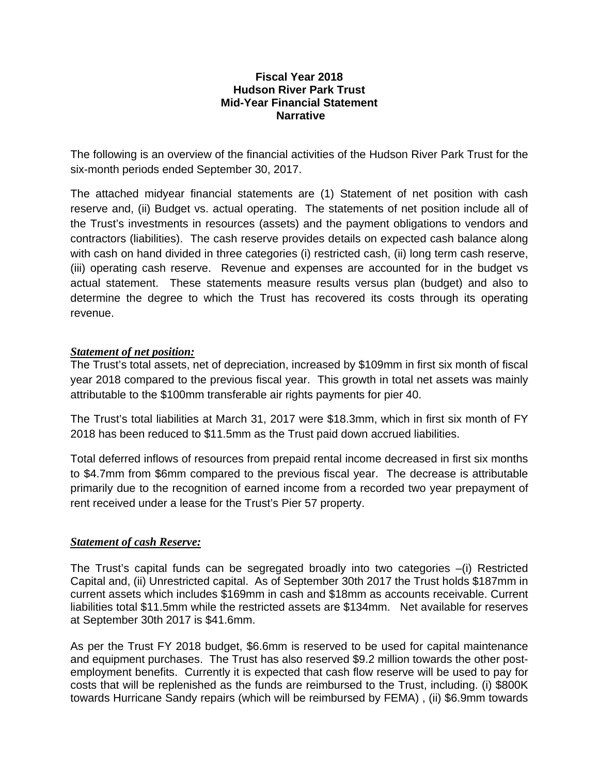#### **Fiscal Year 2018 Hudson River Park Trust Mid-Year Financial Statement Narrative**

The following is an overview of the financial activities of the Hudson River Park Trust for the six-month periods ended September 30, 2017.

The attached midyear financial statements are (1) Statement of net position with cash reserve and, (ii) Budget vs. actual operating. The statements of net position include all of the Trust's investments in resources (assets) and the payment obligations to vendors and contractors (liabilities). The cash reserve provides details on expected cash balance along with cash on hand divided in three categories (i) restricted cash, (ii) long term cash reserve, (iii) operating cash reserve. Revenue and expenses are accounted for in the budget vs actual statement. These statements measure results versus plan (budget) and also to determine the degree to which the Trust has recovered its costs through its operating revenue.

#### *Statement of net position:*

The Trust's total assets, net of depreciation, increased by \$109mm in first six month of fiscal year 2018 compared to the previous fiscal year. This growth in total net assets was mainly attributable to the \$100mm transferable air rights payments for pier 40.

The Trust's total liabilities at March 31, 2017 were \$18.3mm, which in first six month of FY 2018 has been reduced to \$11.5mm as the Trust paid down accrued liabilities.

Total deferred inflows of resources from prepaid rental income decreased in first six months to \$4.7mm from \$6mm compared to the previous fiscal year. The decrease is attributable primarily due to the recognition of earned income from a recorded two year prepayment of rent received under a lease for the Trust's Pier 57 property.

#### *Statement of cash Reserve:*

The Trust's capital funds can be segregated broadly into two categories –(i) Restricted Capital and, (ii) Unrestricted capital. As of September 30th 2017 the Trust holds \$187mm in current assets which includes \$169mm in cash and \$18mm as accounts receivable. Current liabilities total \$11.5mm while the restricted assets are \$134mm. Net available for reserves at September 30th 2017 is \$41.6mm.

As per the Trust FY 2018 budget, \$6.6mm is reserved to be used for capital maintenance and equipment purchases. The Trust has also reserved \$9.2 million towards the other postemployment benefits. Currently it is expected that cash flow reserve will be used to pay for costs that will be replenished as the funds are reimbursed to the Trust, including. (i) \$800K towards Hurricane Sandy repairs (which will be reimbursed by FEMA) , (ii) \$6.9mm towards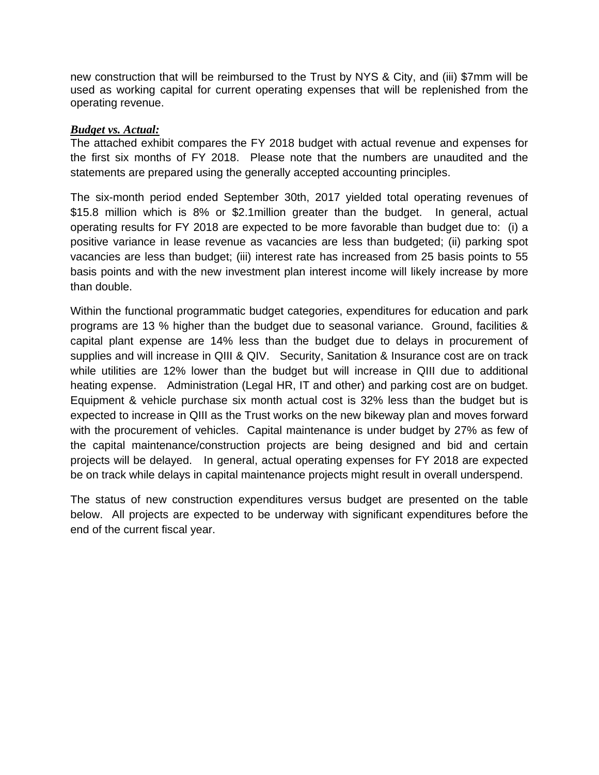new construction that will be reimbursed to the Trust by NYS & City, and (iii) \$7mm will be used as working capital for current operating expenses that will be replenished from the operating revenue.

#### *Budget vs. Actual:*

The attached exhibit compares the FY 2018 budget with actual revenue and expenses for the first six months of FY 2018. Please note that the numbers are unaudited and the statements are prepared using the generally accepted accounting principles.

The six-month period ended September 30th, 2017 yielded total operating revenues of \$15.8 million which is 8% or \$2.1million greater than the budget. In general, actual operating results for FY 2018 are expected to be more favorable than budget due to: (i) a positive variance in lease revenue as vacancies are less than budgeted; (ii) parking spot vacancies are less than budget; (iii) interest rate has increased from 25 basis points to 55 basis points and with the new investment plan interest income will likely increase by more than double.

Within the functional programmatic budget categories, expenditures for education and park programs are 13 % higher than the budget due to seasonal variance. Ground, facilities & capital plant expense are 14% less than the budget due to delays in procurement of supplies and will increase in QIII & QIV. Security, Sanitation & Insurance cost are on track while utilities are 12% lower than the budget but will increase in QIII due to additional heating expense. Administration (Legal HR, IT and other) and parking cost are on budget. Equipment & vehicle purchase six month actual cost is 32% less than the budget but is expected to increase in QIII as the Trust works on the new bikeway plan and moves forward with the procurement of vehicles. Capital maintenance is under budget by 27% as few of the capital maintenance/construction projects are being designed and bid and certain projects will be delayed. In general, actual operating expenses for FY 2018 are expected be on track while delays in capital maintenance projects might result in overall underspend.

The status of new construction expenditures versus budget are presented on the table below. All projects are expected to be underway with significant expenditures before the end of the current fiscal year.